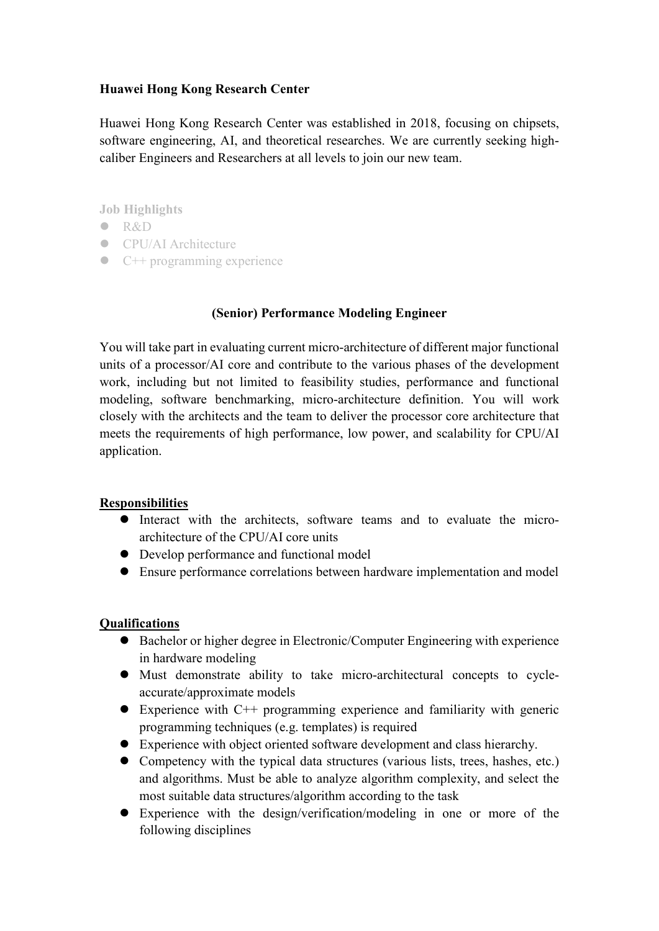## **Huawei Hong Kong Research Center**

Huawei Hong Kong Research Center was established in 2018, focusing on chipsets, software engineering, AI, and theoretical researches. We are currently seeking highcaliber Engineers and Researchers at all levels to join our new team.

**Job Highlights**

- R&D
- **CPU/AI Architecture**
- $\bullet$  C++ programming experience

## **(Senior) Performance Modeling Engineer**

You will take part in evaluating current micro-architecture of different major functional units of a processor/AI core and contribute to the various phases of the development work, including but not limited to feasibility studies, performance and functional modeling, software benchmarking, micro-architecture definition. You will work closely with the architects and the team to deliver the processor core architecture that meets the requirements of high performance, low power, and scalability for CPU/AI application.

## **Responsibilities**

- Interact with the architects, software teams and to evaluate the microarchitecture of the CPU/AI core units
- Develop performance and functional model
- Ensure performance correlations between hardware implementation and model

## **Qualifications**

- Bachelor or higher degree in Electronic/Computer Engineering with experience in hardware modeling
- Must demonstrate ability to take micro-architectural concepts to cycleaccurate/approximate models
- $\bullet$  Experience with C++ programming experience and familiarity with generic programming techniques (e.g. templates) is required
- Experience with object oriented software development and class hierarchy.
- Competency with the typical data structures (various lists, trees, hashes, etc.) and algorithms. Must be able to analyze algorithm complexity, and select the most suitable data structures/algorithm according to the task
- Experience with the design/verification/modeling in one or more of the following disciplines